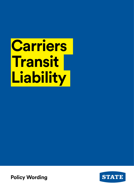# **Carriers Transit Liability**

**Policy Wording**

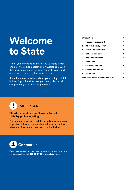## **Welcome to State**

Thank you for choosing State. You've made a great choice – we've been helping New Zealanders with their insurance needs for more than 100 years and are proud to be doing the same for you.

If you have any questions about your policy or think it doesn't provide the cover you need, please call us straight away – we'll be happy to help.

#### **[Introduction](#page-2-0) 1**

| 1. Insurance agreement     | 1 |
|----------------------------|---|
| 2. What this policy covers | 1 |
| 3. Automatic extensions    | 2 |
| 4. Optional extension      | 3 |
| 5. Basis of settlement     | 3 |
| 6. Exclusions              | 3 |
| 7. Claims conditions       | 5 |
| 8. General conditions      | 7 |
| 9. Definitions             | 8 |
|                            |   |

**[Pro Forma claim/initial notice of loss](#page-11-0) 10**

#### п **IMPORTANT**

#### **This document is your Carriers Transit Liability policy wording.**

Please make sure you read it carefully, as it contains important information you should know, including what your insurance covers – and what it doesn't.



If you have a question, need help or want to make an insurance claim, just call us on **0800 80 24 24** or visit **state.co.nz**.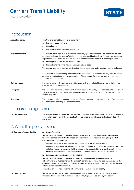## <span id="page-2-0"></span>**Carriers Transit Liability**

Insurance policy



## **Introduction**

| About this policy    | This Carrier's Transit Liability Policy consists of:                                                                                                                                                                                                                                                    |
|----------------------|---------------------------------------------------------------------------------------------------------------------------------------------------------------------------------------------------------------------------------------------------------------------------------------------------------|
|                      | this policy document, and<br>(a)                                                                                                                                                                                                                                                                        |
|                      | the schedule, and<br>(b)                                                                                                                                                                                                                                                                                |
|                      | any endorsements that have been applied.<br>(c)                                                                                                                                                                                                                                                         |
| Duty of disclosure   | The insured has a legal duty of disclosure when they apply for insurance. This means the insured<br>or anyone acting on the insured's behalf must tell us everything they know (or could be reasonably<br>expected to know) that a prudent insurer would want to take into account in deciding whether: |
|                      | (a) to accept or decline the insurance, and/or                                                                                                                                                                                                                                                          |
|                      | (b) the cost or terms of the insurance, including the excess.                                                                                                                                                                                                                                           |
|                      | The insured also has this duty every time their insurance renews and when they make any changes<br>to it.                                                                                                                                                                                               |
|                      | If the insured or anyone acting on the insured's behalf breaches this duty, we may treat this policy<br>as being of no effect and to have never existed. Please ask us if you are not sure whether you need<br>to tell us about something.                                                              |
| <b>Defined words</b> | If a word is shown in <b>bold</b> , it has a specific meaning. There is a list of these words and what they<br>mean in 'Section 9 - Definitions'.                                                                                                                                                       |
| <b>Examples</b>      | We have used examples and comments to make parts of this policy document easier to understand.<br>These examples and comments, which appear in <i>italics</i> , do not affect or limit the meaning of the<br>section they refer to.                                                                     |
| <b>Headings</b>      | The headings in this policy document are for reference only and do not form part of it. They must not<br>be used when interpreting the policy document.                                                                                                                                                 |

### 1. Insurance agreement

**1.1 Our agreement** The **insured** agrees to pay **us** the premium and comply with this policy. In exchange, and in reliance on the information provided in the **application**, **we** agree to provide cover to the **insured** as set out in this policy.

## 2. What this policy covers

|  | 2.1 Carriage of goods liability |  |  |  |
|--|---------------------------------|--|--|--|
|--|---------------------------------|--|--|--|

#### **2.1 Carriage of goods liability A. Carrier's liability**

**We** will cover the **insured** for **liability** for **accidental loss** to **goods** that the **insured** contracts to carry in connection with the **business**, provided that the **loss** happens during the **period of insurance** while the **goods** are:

- 1. in transit anywhere in New Zealand (including any loading and unloading), or
- 2. temporarily housed (either on or off the carrying conveyance) in the normal course of transit, but not at any store, warehouse or holding pen owned or occupied by, or under the control of, the **insured**, unless solely for the purpose of an "incidental service" as defined by the **CCLA**.

#### **B. Subcontractor's and actual carrier's liability**

**We** will cover the **insured** for **liability** to pay for **accidental loss** to **goods** carried by a subcontractor or **actual carrier** on the **insured's** behalf provided that the **loss** happens during the **period of insurance** and the subcontractor's or **actual carrier's** conditions of contract are no more extensive than that of the **insured**.

This extension does not insure the subcontractor's or **actual carrier's liability**.

**2.2 Defence costs We** will also cover the **insured** for all reasonable and necessary legal costs and legal expenses incurred with **our** prior written consent to defend any legal action covered by this policy.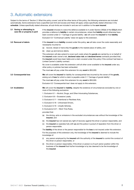## <span id="page-3-0"></span>3. Automatic extensions

Subject to the terms of 'Section 2: What this policy covers' and all the other terms of this policy, the following extensions are included automatically. Some extensions have a specified sub-limit and excess and these will apply unless specifically stated otherwise in the **schedule**. Unless specifically stated otherwise, all sub-limits are included in and are not in addition to the **sum insured**.

| 3.1 Saving or attempting to<br>save life or property in peril |      | If the insured chooses to waive the defence available to it under Section 260(d) of the CCLA which<br>provides a defence to liability in certain circumstances, where that liability would otherwise have<br>been covered under 2.1 'Carriage of goods liability', we will cover the insured for that liability.<br>Exclusion 6.4 'Contractual Liability' does not apply to this extension. |
|---------------------------------------------------------------|------|---------------------------------------------------------------------------------------------------------------------------------------------------------------------------------------------------------------------------------------------------------------------------------------------------------------------------------------------------------------------------------------------|
| 3.2 Removal of debris                                         |      | If the insured incurs liability covered under this policy, we will also cover the costs reasonably and<br>necessarily incurred to:                                                                                                                                                                                                                                                          |
|                                                               |      | (a) recover, reload or trans-ship the goods to the nearest place of safety, and                                                                                                                                                                                                                                                                                                             |
|                                                               |      | (b) clean up and remove debris.                                                                                                                                                                                                                                                                                                                                                             |
|                                                               |      | This extension will also extend to cover such costs where the goods are carried by or on behalf of<br>the insured under owner's risk, declared value risk and declared terms contracts provided that,<br>the insured would have been liable and a claim covered under this policy if the contract had been a<br>Limited Carrier's Liability contract.                                       |
|                                                               |      | No cover is available under this extension until all other cover available to the insured under any<br>other policy or policies has been exhausted.                                                                                                                                                                                                                                         |
|                                                               |      | The most we will pay under this extension for any event is \$50,000.                                                                                                                                                                                                                                                                                                                        |
| 3.3 Consequential loss                                        |      | We will cover the insured for liability for consequential loss incurred by the owner of the goods,<br>arising out of loss for which a claim is payable under 2.1 'Carriage of goods liability'.                                                                                                                                                                                             |
|                                                               |      | The most we will pay under this extension for any event is \$50,000.                                                                                                                                                                                                                                                                                                                        |
|                                                               |      | Exclusion 6.3 'Consequential loss' does not apply to this extension.                                                                                                                                                                                                                                                                                                                        |
| 3.4 Invalidation                                              |      | We will cover the insured for liability, despite the existence of circumstances excluded by one or<br>more of the following exclusions:                                                                                                                                                                                                                                                     |
|                                                               |      | 1. Exclusion 6.1 – Alcohol, Drugs, and Other Intoxicating Substances,                                                                                                                                                                                                                                                                                                                       |
|                                                               |      | 2. Exclusion 6.6 – Excessive Loads,                                                                                                                                                                                                                                                                                                                                                         |
|                                                               |      | 3. Exclusion 6.11 – Intentional or Reckless Acts,                                                                                                                                                                                                                                                                                                                                           |
|                                                               |      | 4. Exclusion 6.18 – Unlicensed Drivers,                                                                                                                                                                                                                                                                                                                                                     |
|                                                               |      | 5. Exclusion 6.19 – Unsafe Vehicles,                                                                                                                                                                                                                                                                                                                                                        |
|                                                               |      | 6. Exclusions 6.21 – Work Time Rules,                                                                                                                                                                                                                                                                                                                                                       |
|                                                               |      | provided that:                                                                                                                                                                                                                                                                                                                                                                              |
|                                                               | (a)  | the driving, acts or omissions in the excluded circumstances was without the knowledge of the<br>insured, and                                                                                                                                                                                                                                                                               |
|                                                               |      | (b) the insured has not waived any right of recovery against the driver or person responsible, and                                                                                                                                                                                                                                                                                          |
|                                                               | (C)  | the insured co-operates fully with us and the police in pursuit of reparation from the driver or<br>person responsible.                                                                                                                                                                                                                                                                     |
|                                                               |      | The liability of the driver or the person responsible for the loss is not insured under this extension.                                                                                                                                                                                                                                                                                     |
|                                                               |      | For the purposes of this extension only, the knowledge of the <b>insured</b> is deemed to include the<br>knowledge of:                                                                                                                                                                                                                                                                      |
|                                                               | (i)  | any person employed by the insured with the authority of the insured to control the conduct of<br>the driver or person responsible, or                                                                                                                                                                                                                                                      |
|                                                               | (ii) | the driver or person responsible, if the driver or person is of such senior position within the<br>business of the <b>insured</b> that his/her knowledge is by law deemed to be the knowledge of<br>the insured.                                                                                                                                                                            |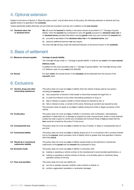## <span id="page-4-0"></span>4. Optional extension

Subject to the terms of Section 2 'What this policy covers', and all other terms of this policy, the following extension is optional and only applies where it is specified in the **schedule**.

Unless specifically stated otherwise, all sub-limits are included in and are not in addition to the **sum insured**.

- **4.1 Declared value risk or declared terms**
- **We** will cover the **insured** for liability in the same manner as provided in 2.1 'Carriage of goods liability' when the **insured** has contracted to carry the **goods** pursuant to a **declared value risk** or on **declared terms** provided that before carrying **goods** under any such contract the **insured** has:
- (a) provided to **us** details of the **declared value risk** or the **declared terms**, and
- (b) paid any additional premium **we** may require.

The most that **we** will pay under this Optional Extension is the amount shown in the **schedule**.

## 5. Basis of settlement

| 5.1 Maximum amount payable                              | <b>Carriage of goods liability</b>                                                                                                                                                                                                                                                                                                                                          |
|---------------------------------------------------------|-----------------------------------------------------------------------------------------------------------------------------------------------------------------------------------------------------------------------------------------------------------------------------------------------------------------------------------------------------------------------------|
|                                                         | The most we will pay under 2.1 'Carriage of goods liability' in total for any event is the sum insured.                                                                                                                                                                                                                                                                     |
|                                                         | Defence costs                                                                                                                                                                                                                                                                                                                                                               |
|                                                         | In addition to the cover provided under 2.1 'Carriage of goods liability', the most we will pay under<br>2.2 'Defence costs' for any event is \$1,000,000.                                                                                                                                                                                                                  |
| 5.2 Excess                                              | For each event, the excess shown in the schedule will be deducted from the amount of the<br>insured's claim.                                                                                                                                                                                                                                                                |
| 6. Exclusions                                           |                                                                                                                                                                                                                                                                                                                                                                             |
| 6.1 Alcohol, drugs and other<br>intoxicating substances | This policy does not cover any loss or liability when the vehicle is being used by any person,<br>including the insured, who:                                                                                                                                                                                                                                               |
|                                                         | has a proportion of alcohol in their breath or blood that exceeds the legal limit, or<br>(a)                                                                                                                                                                                                                                                                                |
|                                                         | is under the influence of any other intoxicating substance or drug, or<br>(b)                                                                                                                                                                                                                                                                                               |
|                                                         | fails or refuses to supply a breath or blood sample as required by law, or<br>(C)                                                                                                                                                                                                                                                                                           |
|                                                         | fails or refuses to stop, or remain at the scene, following an accident (as required by law).<br>(d)                                                                                                                                                                                                                                                                        |
|                                                         | This exclusion does not apply to any loss or liability arising from theft or illegal conversion of the<br>vehicle.                                                                                                                                                                                                                                                          |
| 6.2 Confiscation                                        | This policy does not cover any loss or liability in connection with confiscation, nationalisation,<br>requisition or destruction of, or damage to property by order of government, public or local authority<br>(unless the order is given to control any immediate and imminent threat of loss provided that the<br>loss would be covered by this policy if it did occur). |
| 6.3 Consequential loss                                  | This policy does not cover any loss or liability for loss of market, or delay or consequential loss of<br>any kind.                                                                                                                                                                                                                                                         |
| 6.4 Contractual liability                               | This policy does not cover any loss or liability arising out of, or in connection with a contract entered<br>into by the <b>insured</b> , which provides a limit of liability which is greater than that specified in Section                                                                                                                                               |

**6.5 Electrical or mechanical malfunction liability** This policy does not cover any **loss** or liability caused solely by the electrical or mechanical malfunction of the **goods** that the **insured** has contracted to carry.

**6.6 Excessive loads** This policy does not cover any **loss** or liability in connection with:

- (a) loading or operating a vehicle contrary to the manufacturer's recommended specifications, or
- (b) loading or operating a vehicle contrary to the law, or its ancillary plant or machinery being operated contrary to the law.

**6.7 Fines and penalties** This policy does not cover any liability for:

259 of the **CCLA**.

- (a) any fine or penalty imposed, whether under contract or statute, or
- (b) punitive, aggravated, liquidated, or exemplary damages.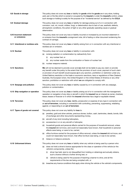| 6.8 Goods in storage                     | This policy does not cover any loss or liability for goods while the goods are in any store, holding<br>yard, pen or the like which is owned or occupied by the insured or under the insured's control, unless<br>such storage or holding is solely for the purpose of an "incidental service" as defined by the CCLA.                                                                                                                                                                                                                                                                                |  |  |
|------------------------------------------|-------------------------------------------------------------------------------------------------------------------------------------------------------------------------------------------------------------------------------------------------------------------------------------------------------------------------------------------------------------------------------------------------------------------------------------------------------------------------------------------------------------------------------------------------------------------------------------------------------|--|--|
| 6.9 Gradual damage                       | This policy does not cover any loss or liability for damage arising out of or in connection with<br>corrosion, rust, rot, mould, mildew, fungi, or deterioration due to lack of use, aesthetic defects,<br>atmospheric conditions, the action of light or any other gradually operating cause or gradual<br>deterioration.                                                                                                                                                                                                                                                                            |  |  |
| 6.10 Incorrect statement<br>or omissions | This policy does not cover any loss or liability incurred or increased by an incorrect statement in<br>or omission from the insured's consignment note, bill of lading or other document evidencing the<br>contract of carriage.                                                                                                                                                                                                                                                                                                                                                                      |  |  |
| 6.11 Intentional or reckless acts        | This policy does not cover any loss or liability arising from or in connection with any intentional or<br>reckless act or omission.                                                                                                                                                                                                                                                                                                                                                                                                                                                                   |  |  |
| 6.12 Nuclear                             | This policy does not cover any <b>loss</b> or liability in connection with:                                                                                                                                                                                                                                                                                                                                                                                                                                                                                                                           |  |  |
|                                          | ionising radiation or contamination by radioactivity from:<br>(a)                                                                                                                                                                                                                                                                                                                                                                                                                                                                                                                                     |  |  |
|                                          | (i)<br>any nuclear fuel, or                                                                                                                                                                                                                                                                                                                                                                                                                                                                                                                                                                           |  |  |
|                                          | (ii)<br>any nuclear waste from the combustion or fission of nuclear fuel.                                                                                                                                                                                                                                                                                                                                                                                                                                                                                                                             |  |  |
|                                          | nuclear weapons material.<br>(b)                                                                                                                                                                                                                                                                                                                                                                                                                                                                                                                                                                      |  |  |
| 6.13 Sanctions                           | We will not be deemed to provide cover and we shall not be liable to pay any claim or provide<br>any benefit under this policy to the extent that the provision of such cover, payment of such claim<br>or provision of such benefit would expose us to any sanction, prohibition or restriction under any<br>United Nations resolution or the trade or economic sanctions, laws or regulations of New Zealand,<br>Australia, the European Union, the United Kingdom or the United States of America or any other<br>sanction, prohibition or restriction with which we are obligated to comply with. |  |  |
| 6.14 Seepage and pollution               | This policy does not cover any loss or liability caused by or in connection with any seepage,<br>pollution or contamination.                                                                                                                                                                                                                                                                                                                                                                                                                                                                          |  |  |
| 6.15 Ship navigation or operation        | This policy does not cover any loss or liability arising out of or in connection with the management,<br>operation or navigation of any ship or aircraft in which the insured has an interest as owner, charterer,<br>lessor, lessee or financier or in which the insured otherwise has a legal or equitable interest.                                                                                                                                                                                                                                                                                |  |  |
| 6.16 Terrorism                           | This policy does not cover any loss, liability, prosecution or expense of any type in connection with<br>an act of terrorism, including in connection with controlling, preventing, suppressing, retaliating<br>against, or responding to an act of terrorism.                                                                                                                                                                                                                                                                                                                                        |  |  |
| 6.17 Types of goods not covered          | This policy does not cover any liability for <b>loss</b> to:                                                                                                                                                                                                                                                                                                                                                                                                                                                                                                                                          |  |  |
|                                          | jewellery, gold and silver articles, precious stones, bullion, cash, banknotes, deeds, bonds, bills<br>(a)<br>of exchange and other documents representing money,                                                                                                                                                                                                                                                                                                                                                                                                                                     |  |  |
|                                          | aircraft of any kind including helicopters,<br>(b)                                                                                                                                                                                                                                                                                                                                                                                                                                                                                                                                                    |  |  |
|                                          | accessories in or on any aircraft or helicopter,<br>(C)                                                                                                                                                                                                                                                                                                                                                                                                                                                                                                                                               |  |  |
|                                          | household goods and personal effects carried for the purpose of household removal, unless<br>(d)<br>the insured did not know, and could not reasonably have known, that household or personal                                                                                                                                                                                                                                                                                                                                                                                                         |  |  |
|                                          | effects were being, or were to be, carried,                                                                                                                                                                                                                                                                                                                                                                                                                                                                                                                                                           |  |  |
|                                          | office furniture carried for the purpose of office removal, unless the <b>insured</b> did not know, and<br>(e)<br>could not reasonably have known, that office furniture was being, or was to be carried,                                                                                                                                                                                                                                                                                                                                                                                             |  |  |
|                                          | tobacco or tobacco products.<br>(f)                                                                                                                                                                                                                                                                                                                                                                                                                                                                                                                                                                   |  |  |
| 6.18 Unlicensed drivers                  | This policy does not cover any loss or liability when any vehicle is being used by a person who:                                                                                                                                                                                                                                                                                                                                                                                                                                                                                                      |  |  |
|                                          | does not hold a driver's licence appropriate for the class or operation of the vehicle (or the<br>(a)<br>vehicle's components), unless the:                                                                                                                                                                                                                                                                                                                                                                                                                                                           |  |  |
|                                          | (i)<br>driver has held, (and is not disqualified from holding or obtaining) and actually obtains,<br>such a licence without a further driving test, or                                                                                                                                                                                                                                                                                                                                                                                                                                                |  |  |
|                                          | vehicle is being used for the purpose of teaching a learner to drive, and all the<br>(ii)<br>requirements of the law are being complied with, or                                                                                                                                                                                                                                                                                                                                                                                                                                                      |  |  |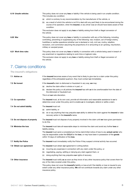<span id="page-6-0"></span>

| 6.19 Unsafe vehicles | This policy does not cover any <b>loss</b> or liability if the vehicle is being used in an unsafe condition.<br>This includes any condition:                                                                                                                                                                                                                                                                                                      |
|----------------------|---------------------------------------------------------------------------------------------------------------------------------------------------------------------------------------------------------------------------------------------------------------------------------------------------------------------------------------------------------------------------------------------------------------------------------------------------|
|                      | which is contrary to any recommendation by the manufacturer of the vehicle, or<br>(a)                                                                                                                                                                                                                                                                                                                                                             |
|                      | as a result of which the vehicle is not fit to deal with any peril likely to be encountered during the<br>(b)<br>course of its operation, when the <b>insured</b> , or any driver was (or should have been) aware of that<br>condition.                                                                                                                                                                                                           |
|                      | This exclusion does not apply to any loss or liability arising from theft or illegal conversion of<br>the vehicle.                                                                                                                                                                                                                                                                                                                                |
| 6.20 War             | This policy does not cover any loss or liability in connection with any of the following, including<br>controlling, preventing or suppressing any of the following: war, invasion, act of foreign enemy,<br>hostilities or warlike operations (whether war is declared or not), civil war, mutiny, rebellion,<br>revolution, civil commotion assuming the proportions of or amounting to an uprising, insurrection,<br>military or usurped power. |
| 6.21 Work time rules | This policy does not cover any loss or liability in connection with a vehicle being used in breach of<br>any enactment or regulations relating to work time or logbook rules.<br>This exclusion does not apply to any loss or liability arising from theft or illegal conversion of<br>the vehicle.                                                                                                                                               |
|                      |                                                                                                                                                                                                                                                                                                                                                                                                                                                   |

## 7. Claims conditions

#### **The insured's obligations**

| 7.1 Advise us                  | If the insured becomes aware of any event that is likely to give rise to a claim under this policy<br>regardless of the anticipated quantum, they must contact us immediately.                                                                   |
|--------------------------------|--------------------------------------------------------------------------------------------------------------------------------------------------------------------------------------------------------------------------------------------------|
| 7.2 Be honest                  | If the insured's claim is dishonest or fraudulent in any way, we may:                                                                                                                                                                            |
|                                | decline the claim either in whole or in part, or<br>(a)                                                                                                                                                                                          |
|                                | declare this policy or all policies the <b>insured</b> has with <b>us</b> to be unenforceable from the date of<br>(b)<br>the dishonest or fraudulent act.                                                                                        |
|                                | This is at our sole discretion.                                                                                                                                                                                                                  |
| 7.3 Co-operation               | The insured must, at its own cost, provide all information and reasonable assistance to us to<br>determine cover under this policy and to enable us to investigate, defend or settle a claim.                                                    |
| 7.4 Do not admit liability     | The <b>insured</b> must not:                                                                                                                                                                                                                     |
|                                | admit liability, or<br>(a)                                                                                                                                                                                                                       |
|                                | do or say anything that may prejudice our ability to defend the claim against the insured or take<br>(b)<br>recovery action in the insured's name.                                                                                               |
| 7.5 Do not dispose of property | The <b>insured</b> must not dispose of any property involved in the claim until we have given permission<br>to do this.                                                                                                                          |
| 7.6 Minimise the loss          | The insured must take all reasonable steps to minimise the claim and avoid any further loss or<br>liability arising.                                                                                                                             |
|                                | The insured must send a completed pro forma claim/initial notice of loss to any actual carrier who<br>may be responsible under the CCLA for the loss, or may have been in possession of the goods<br>within 10 days of notification of the loss. |
| 7.7 Notify the Police          | The <b>insured</b> must immediately notify the Police if they suspect criminal activity has occurred.                                                                                                                                            |
| 7.8 Obtain our agreement       | The insured must obtain our agreement in writing before:                                                                                                                                                                                         |
|                                | incurring any expenses in connection with any claim under this policy, or<br>(a)                                                                                                                                                                 |
|                                | negotiating, paying, settling or denying any claim against them, or<br>(b)                                                                                                                                                                       |
|                                | doing anything that may prejudice our rights of recovery.<br>(C)                                                                                                                                                                                 |
| 7.9 Other insurance            | The insured must notify us as soon as they know of any other insurance policy that covers them for<br>any of the risks covered under this policy.                                                                                                |
|                                | This policy does not cover the <b>insured's</b> liability or loss at all if the liability or loss is insured to any<br>extent under any other insurance policy. We will not contribute towards any claim under any other<br>insurance policy.    |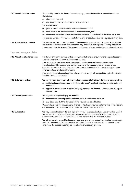| 7.10 Provide full information    | When making a claim, the <b>insured</b> consents to any personal information in connection with the<br>claim being:                                                                                                                                                                                                                             |  |  |
|----------------------------------|-------------------------------------------------------------------------------------------------------------------------------------------------------------------------------------------------------------------------------------------------------------------------------------------------------------------------------------------------|--|--|
|                                  | disclosed to us, and<br>(a)                                                                                                                                                                                                                                                                                                                     |  |  |
|                                  | (b) transferred to the Insurance Claims Register Limited.                                                                                                                                                                                                                                                                                       |  |  |
|                                  | The insured must:                                                                                                                                                                                                                                                                                                                               |  |  |
|                                  | give us free access to examine and assess the claim, and<br>(i)                                                                                                                                                                                                                                                                                 |  |  |
|                                  | send any relevant correspondence or documents to us, and<br>(ii)                                                                                                                                                                                                                                                                                |  |  |
|                                  | complete a claim form and/or statutory declaration to confirm the claim if we request it, and<br>(iii)                                                                                                                                                                                                                                          |  |  |
|                                  | provide any other information, proof of ownership or assistance that we may require at any time.<br>(iv)                                                                                                                                                                                                                                        |  |  |
| 7.11 Waiver of legal privilege   | The lawyers we instruct to act on behalf of the insured in relation to any claim against the insured,<br>are at liberty to disclose to us any information they received in that capacity, including information<br>they received from the <b>insured</b> . The <b>insured</b> authorises the lawyer to disclose this information to <b>us</b> . |  |  |
| How we manage a claim            |                                                                                                                                                                                                                                                                                                                                                 |  |  |
| 7.12 Allocation of defence costs | If a claim is only partly covered by this policy, we will attempt to ensure fair and proper allocation of<br>the defence costs for covered and uninsured portions.                                                                                                                                                                              |  |  |
|                                  | If we and the insured are unable to agree upon the allocation of the defence costs then<br>that allocation will be decided by a lawyer that we and the insured agree to instruct, whose<br>determination will be binding. The cost of the lawyer's determination is to be taken as part of the<br>defence costs covered under this policy.      |  |  |
|                                  | If we and the insured cannot agree on a lawyer, then a lawyer will be appointed by the President of<br>the New Zealand Law Society.                                                                                                                                                                                                             |  |  |
| 7.13 Defence of a claim          | We have the sole right (which will be a condition precedent to the insured's right to be covered) to:                                                                                                                                                                                                                                           |  |  |
|                                  | act in the insured's name and on the insured's behalf to defend, negotiate or settle a claim as<br>(a)<br>we see fit,                                                                                                                                                                                                                           |  |  |
|                                  | appoint our own lawyers to defend or legally represent the insured and the lawyers will report<br>(b)<br>directly to <b>us</b> .                                                                                                                                                                                                                |  |  |
| 7.14 Discharge of a claim        | We may elect at any time to pay the insured:                                                                                                                                                                                                                                                                                                    |  |  |
|                                  | the maximum amount payable under this policy in relation to a claim, or<br>(a)                                                                                                                                                                                                                                                                  |  |  |
|                                  | any lesser sum that the claim against the <b>insured</b> can be settled for.<br>(b)                                                                                                                                                                                                                                                             |  |  |
|                                  | Once we have paid this (including any defence costs already incurred up to the date of the election),<br><b>our</b> responsibility to the <b>insured</b> under this policy for that claim is met in full.                                                                                                                                       |  |  |
| 7.15 Subrogation                 | We may assume the <b>insured's</b> legal right of recovery. The proceeds of any recovery will be applied<br>first to the costs of effecting the recovery, then to us for amounts paid for a claim. Any remaining<br>balance will be paid to the insured for uncovered loss and then the insured's excess.                                       |  |  |
|                                  | We will not exercise any rights of recovery against any employee unless the claim has been brought<br>about or contributed to by the dishonest, fraudulent, criminal or malicious act or omission of the                                                                                                                                        |  |  |

employee. The **insured** must fully co-operate with any recovery process.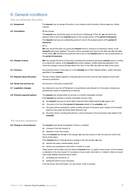## <span id="page-8-0"></span>8. General conditions

**How we administer this policy**

| 8.1 Assignment                 | The insured may not assign this policy or any interest under this policy without our prior written<br>consent.                                                                                                                                                                                                                            |
|--------------------------------|-------------------------------------------------------------------------------------------------------------------------------------------------------------------------------------------------------------------------------------------------------------------------------------------------------------------------------------------|
| 8.2 Cancellation               | By the insured                                                                                                                                                                                                                                                                                                                            |
|                                | The insured may cancel this policy at any time by notifying us. If they do, we will refund any<br>premium that is due to the insured based on the unused portion of the <b>period of insurance</b> .                                                                                                                                      |
|                                | The insured must pay any outstanding premium due for the expired portion of the period of<br>insurance.                                                                                                                                                                                                                                   |
|                                | By us                                                                                                                                                                                                                                                                                                                                     |
|                                | We may cancel this policy by giving the insured notice in writing or by electronic means, at the<br>insured's last known address. The policy will be cancelled from 4pm on the 30th day after the date<br>of the notice. We will refund any premium that is due to the insured based on the unused portion of<br>the period of insurance. |
| 8.3 Change of terms            | We may change the terms of this policy (including the excess) by giving the insured notice in writing<br>or by electronic means, at the insured's last known address. Unless otherwise specified in the<br>notice the change in terms will take effect from 4pm on the 30th day after the date of the notice.                             |
| 8.4 Currency                   | Any amounts shown in this policy or in the <b>schedule</b> are in New Zealand dollars, unless otherwise<br>specified in the schedule.                                                                                                                                                                                                     |
| 8.5 Disputes about this policy | The law of New Zealand applies to disputes about this policy and the New Zealand Courts have<br>exclusive jurisdiction.                                                                                                                                                                                                                   |
| 8.6 Goods and services tax     | All amounts in this policy include GST.                                                                                                                                                                                                                                                                                                   |
| 8.7 Legislation changes        | Any reference to any Act of Parliament or subordinate rules referred to in this policy includes any<br>amendments made or substitutions to that law.                                                                                                                                                                                      |
| 8.8 Premium payment options    | The insured may choose either an annual or a monthly renewable contract.                                                                                                                                                                                                                                                                  |
|                                | If the insured has elected a monthly renewable contract, then:                                                                                                                                                                                                                                                                            |
|                                | the insured must pay by direct debit using the Direct Debit Authority we require, and<br>(a)                                                                                                                                                                                                                                              |
|                                | the policy is for the initial period of insurance stated in the schedule, and<br>(b)                                                                                                                                                                                                                                                      |
|                                | the policy will be renewed for further monthly periods of insurance upon receipt of the renewal<br>(C)<br>premium due under the Direct Debit Authority, and                                                                                                                                                                               |
|                                | the policy terms, including the premium, will be reviewed on the anniversary date stated in the<br>(d)<br>schedule.                                                                                                                                                                                                                       |
| The insured's obligations      |                                                                                                                                                                                                                                                                                                                                           |
| 8.9 Change in circumstances    | The insured must tell us immediately if there is a material:                                                                                                                                                                                                                                                                              |
|                                | increase in the risk insured, or<br>(a)                                                                                                                                                                                                                                                                                                   |
|                                | alteration of the risk insured.<br>(b)                                                                                                                                                                                                                                                                                                    |
|                                | Once the insured has told us of the change, we may then cancel or alter the premium and/or the<br>terms of this policy.                                                                                                                                                                                                                   |
|                                | If the insured fails to notify us about a change in the risk insured, we may:                                                                                                                                                                                                                                                             |
|                                | declare this policy unenforceable, and/or<br>(a)                                                                                                                                                                                                                                                                                          |
|                                | decline any subsequent claim either in whole or in part.<br>(b)                                                                                                                                                                                                                                                                           |
|                                | These actions will be taken from the date the insured knew, or ought to have known, of the increase<br>or alteration in the risk insured. For avoidance of any doubt, information is 'material' where we would<br>have made different decisions about either:                                                                             |
|                                | accepting your insurance, or<br>(i)                                                                                                                                                                                                                                                                                                       |
|                                | setting the terms of your insurance,<br>(ii)                                                                                                                                                                                                                                                                                              |
|                                | if we had known that information. If in any doubt, notify us anyway.                                                                                                                                                                                                                                                                      |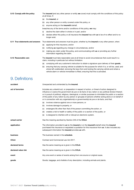<span id="page-9-0"></span>**8.10 Comply with the policy** The **insured** (and any other person or entity **we** cover) must comply with the conditions of this policy at all times. If: (a) the **insured**, or (b) any other person or entity covered under this policy, or (c) anyone acting on the **insured's** behalf, breaches any of the terms and/or conditions of this policy, **we** may: (i) decline the claim either in whole or in part, and/or (ii) declare either this policy or all insurance the **insured** has with **us** to be of no effect and to no longer exist. **8.11 True statements and answers** True statements and answers must be given, whether by the **insured** or any other person, when: (a) applying for this insurance, and/or (b) notifying **us** regarding any change in circumstances, and/or (c) making any claim under this policy, and communicating with **us** or providing any further information regarding the claim. **8.12 Reasonable care** The **insured** must take reasonable care at all times to avoid circumstances that could result in a claim, including in particular but without limitation: (a) complying with any customer's instruction to obtain a signature upon delivery of their **goods**, (b) ensuring that any carrying vehicle is suitable for the purpose for which it is, or will be, used; and where left unattended, removing the keys from and locking the carrying vehicle and where a

vehicle alarm or vehicle immobiliser is fitted, ensuring that this is activated.

## 9. Definitions

| accident            | Unexpected and unintended by the insured.                                                                                                                                                                                                                                                                                                                                                                                                                                                                                         |
|---------------------|-----------------------------------------------------------------------------------------------------------------------------------------------------------------------------------------------------------------------------------------------------------------------------------------------------------------------------------------------------------------------------------------------------------------------------------------------------------------------------------------------------------------------------------|
| act of terrorism    | Includes any unlawful act, or preparation in respect of action, or threat of action designed to<br>influence or coerce the government de jure or de facto of any nation or any political division thereof,<br>or in pursuit of political, religious, ideological, or similar purposes to intimidate the public or a section<br>of the public of any nation by any person or group(s) of persons whether acting alone or on behalf of<br>or in connection with any organisation(s) or government(s) de jure or de facto, and that: |
|                     | involves violence against one or more persons, or<br>(a)                                                                                                                                                                                                                                                                                                                                                                                                                                                                          |
|                     | (b) involves damage to property, or                                                                                                                                                                                                                                                                                                                                                                                                                                                                                               |
|                     | endangers life other than that of the person committing the action, or<br>(C)                                                                                                                                                                                                                                                                                                                                                                                                                                                     |
|                     | (d) creates a risk to health or safety of the public or a section of the public, or                                                                                                                                                                                                                                                                                                                                                                                                                                               |
|                     | is designed to interfere with or disrupt an electronic system.<br>(e)                                                                                                                                                                                                                                                                                                                                                                                                                                                             |
| actual carrier      | Has the meaning ascribed by Section 246 of the <b>CCLA</b> .                                                                                                                                                                                                                                                                                                                                                                                                                                                                      |
| application         | The information provided to us by the insured or on the insured's behalf when the insured<br>purchased this insurance or requested a quotation for this insurance from us. It also includes any<br>subsequent information the insured provides us with.                                                                                                                                                                                                                                                                           |
| business            | The business named in the schedule.                                                                                                                                                                                                                                                                                                                                                                                                                                                                                               |
| <b>CCLA</b>         | Contract and Commercial Law Act 2017.                                                                                                                                                                                                                                                                                                                                                                                                                                                                                             |
| declared terms      | Has the same meaning as is given in the CCLA.                                                                                                                                                                                                                                                                                                                                                                                                                                                                                     |
| declared value risk | Has the same meaning as is given in the <b>CCLA</b> .                                                                                                                                                                                                                                                                                                                                                                                                                                                                             |
| event               | Any one event or series of events arising from one source or original cause.                                                                                                                                                                                                                                                                                                                                                                                                                                                      |
| goods               | Goods, baggage, and chattels of any description, including animals and plants.                                                                                                                                                                                                                                                                                                                                                                                                                                                    |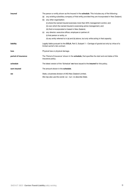| insured             | The person or entity shown as the Insured in the <b>schedule</b> . This includes any of the following:                                         |  |  |
|---------------------|------------------------------------------------------------------------------------------------------------------------------------------------|--|--|
|                     | any existing subsidiary company of that entity provided they are incorporated in New Zealand,<br>(a)                                           |  |  |
|                     | any other organisation:<br>(b)                                                                                                                 |  |  |
|                     | (i) where the named Insured exercises more than 50% management control, and                                                                    |  |  |
|                     | (ii) over which the named Insured is exercising active management, and                                                                         |  |  |
|                     | (iii) that is incorporated or based in New Zealand,                                                                                            |  |  |
|                     | any director, executive officer, employee or partner of:<br>(C)                                                                                |  |  |
|                     | (i) that person or entity, or                                                                                                                  |  |  |
|                     | (ii) any entity referred to in (a) and (b) above, but only while acting in that capacity.                                                      |  |  |
| liability           | Legally liable pursuant to the <b>CCLA</b> , Part 5, Subpart 1 – Carriage of goods but only by virtue of a<br>limited carrier's risk contract. |  |  |
| loss                | Physical loss or physical damage.                                                                                                              |  |  |
| period of insurance | The 'Period of Insurance' shown in the <b>schedule</b> , that specifies the start and end dates of this<br>insurance policy.                   |  |  |
| schedule            | The latest version of the 'Schedule' we have issued to the insured for this policy.                                                            |  |  |
| sum insured         | The amount shown in the schedule.                                                                                                              |  |  |
| we                  | State, a business division of IAG New Zealand Limited.                                                                                         |  |  |
|                     | We may also use the words 'us', 'our', to describe State.                                                                                      |  |  |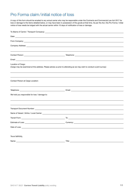## <span id="page-11-0"></span>Pro Forma claim/initial notice of loss

A copy of this form should be emailed to any actual carrier who may be responsible under the Contracts and Commercial Law Act 2017 for loss or damage to the items detailed below, or may have been in possession of the goods at that time. As per the Act, this Pro Forma / initial notice of loss needs be lodged with the actual carrier within 10 days of notification of loss or damage.

|                                                                                                                                                                                                                                                                    | From Company: <u>Alexander Account Company:</u> Alexander Account Company of the Company of the Company:                                                                                                                             |
|--------------------------------------------------------------------------------------------------------------------------------------------------------------------------------------------------------------------------------------------------------------------|--------------------------------------------------------------------------------------------------------------------------------------------------------------------------------------------------------------------------------------|
|                                                                                                                                                                                                                                                                    |                                                                                                                                                                                                                                      |
|                                                                                                                                                                                                                                                                    |                                                                                                                                                                                                                                      |
|                                                                                                                                                                                                                                                                    |                                                                                                                                                                                                                                      |
| Location of Cargo:                                                                                                                                                                                                                                                 | (Cargo may be examined at this address. Please advise us prior to attending as we may wish to conduct a joint survey):                                                                                                               |
| Contact Person at Cargo Location:<br>the control of the control of the control of the control of the control of the control of the control of the control of the control of the control of the control of the control of the control of the control of the control |                                                                                                                                                                                                                                      |
|                                                                                                                                                                                                                                                                    |                                                                                                                                                                                                                                      |
| We hold you responsible for loss / damage to:                                                                                                                                                                                                                      |                                                                                                                                                                                                                                      |
|                                                                                                                                                                                                                                                                    |                                                                                                                                                                                                                                      |
|                                                                                                                                                                                                                                                                    |                                                                                                                                                                                                                                      |
|                                                                                                                                                                                                                                                                    |                                                                                                                                                                                                                                      |
|                                                                                                                                                                                                                                                                    |                                                                                                                                                                                                                                      |
|                                                                                                                                                                                                                                                                    | Date of Loss: <u>example and contract and contract and contract and contract and contract and contract and contract of the set of the set of the set of the set of the set of the set of the set of the set of the set of the se</u> |
| Yours faithfully,                                                                                                                                                                                                                                                  |                                                                                                                                                                                                                                      |
| Name:                                                                                                                                                                                                                                                              | Title:                                                                                                                                                                                                                               |